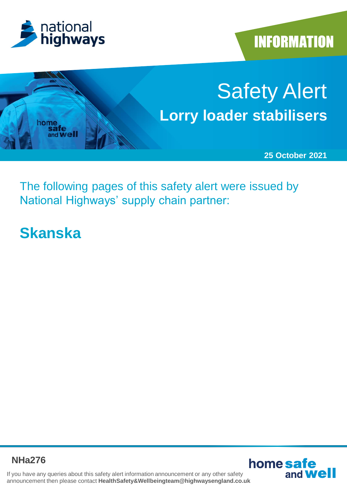





The following pages of this safety alert were issued by National Highways' supply chain partner:

# **Skanska**

**NHa276**



If you have any queries about this safety alert information announcement or any other safety announcement then please contact **HealthSafety&Wellbeingteam@highwaysengland.co.uk**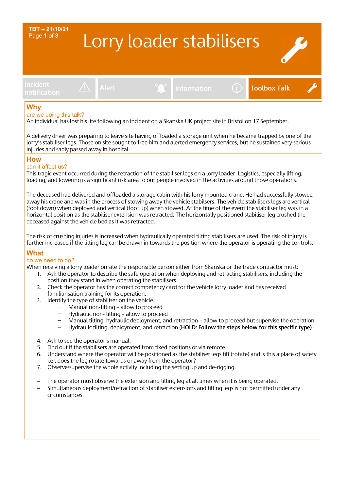### Lorry loader stabilisers **TBT – 21/10/21** Page 1 of 3

**Incident**





## **notification Alert Information Toolbox Talk**

### **Why**

#### are we doing this talk?

An individual has lost his life following an incident on a Skanska UK project site in Bristol on 17 September.

A delivery driver was preparing to leave site having offloaded a storage unit when he became trapped by one of the lorry's stabiliser legs. Those on site sought to free him and alerted emergency services, but he sustained very serious injuries and sadly passed away in hospital.

#### **How**

#### can it affect us?

This tragic event occurred during the retraction of the stabiliser legs on a lorry loader. Logistics, especially lifting, loading, and lowering is a significant risk area to our people involved in the activities around those operations.

The deceased had delivered and offloaded a storage cabin with his lorry mounted crane. He had successfully stowed away his crane and was in the process of stowing away the vehicle stabilsers. The vehicle stabilisers legs are vertical (foot down) when deployed and vertical (foot up) when stowed. At the time of the event the stabiliser leg was in a horizontal position as the stabiliser extension was retracted. The horizontally positioned stabiliser leg crushed the deceased against the vehicle bed as it was retracted.

The risk of crushing injuries is increased when hydraulically operated tilting stabilisers are used. The risk of injury is further increased if the tilting leg can be drawn in towards the position where the operator is operating the controls.

#### **What**

#### do we need to do?

When receiving a lorry loader on site the responsible person either from Skanska or the trade contractor must:

- 1. Ask the operator to describe the safe operation when deploying and retracting stabilisers, including the position they stand in when operating the stabilisers.
- 2. Check the operator has the correct competency card for the vehicle lorry loader and has received familiarisation training for its operation.
- 3. Identify the type of stabiliser on the vehicle.
	- − Manual non-tilting allow to proceed
	- − Hydraulic non- tilting allow to proceed
	- Manual tilting, hydraulic deployment, and retraction allow to proceed but supervise the operation
	- − Hydraulic tilting, deployment, and retraction (**HOLD**: **Follow the steps below for this specific type)**
- 4. Ask to see the operator's manual.
- 5. Find out if the stabilisers are operated from fixed positions or via remote.
- 6. Understand where the operator will be positioned as the stabiliser legs tilt (rotate) and is this a place of safety i.e., does the leg rotate towards or away from the operator?
- 7. Observe/supervise the whole activity including the setting up and de-rigging.
- The operator must observe the extension and tilting leg at all times when it is being operated.
- − Simultaneous deployment/retraction of stabiliser extensions and tilting legs is not permitted under any circumstances.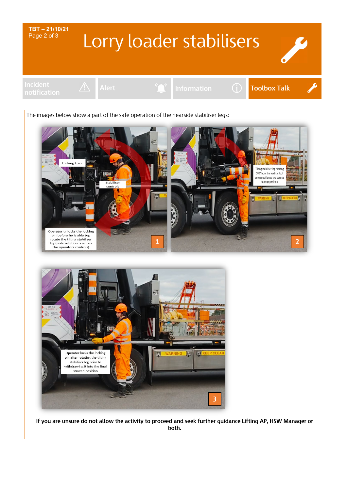

**If you are unsure do not allow the activity to proceed and seek further guidance Lifting AP, HSW Manager or both.**